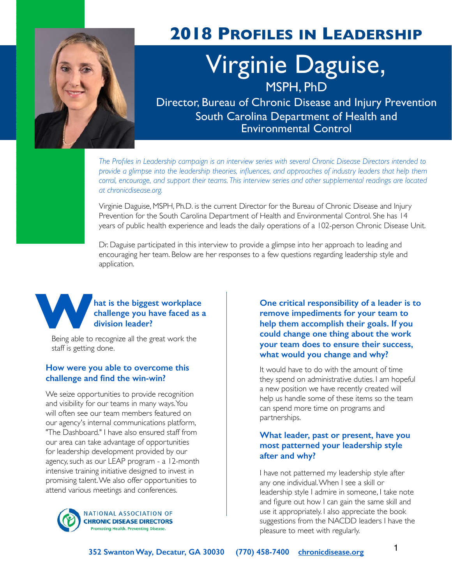

### **2018 PROFILES IN LEADERSHIP**

# Virginie Daguise, MSPH, PhD

Director, Bureau of Chronic Disease and Injury Prevention South Carolina Department of Health and Environmental Control

*The Profiles in Leadership campaign is an interview series with several Chronic Disease Directors intended to provide a glimpse into the leadership theories, influences, and approaches of industry leaders that help them corral, encourage, and support their teams. This interview series and other supplemental readings are located at chronicdisease.org.*

Virginie Daguise, MSPH, Ph.D. is the current Director for the Bureau of Chronic Disease and Injury Prevention for the South Carolina Department of Health and Environmental Control. She has 14 years of public health experience and leads the daily operations of a 102-person Chronic Disease Unit.

Dr. Daguise participated in this interview to provide a glimpse into her approach to leading and encouraging her team. Below are her responses to a few questions regarding leadership style and application.



#### hat is the biggest workplace **challenge you have faced as a division leader?**

Being able to recognize all the great work the staff is getting done.

#### **How were you able to overcome this challenge and find the win-win?**

We seize opportunities to provide recognition and visibility for our teams in many ways. You will often see our team members featured on our agency's internal communications platform, "The Dashboard." I have also ensured staff from our area can take advantage of opportunities for leadership development provided by our agency, such as our LEAP program - a 12-month intensive training initiative designed to invest in promising talent. We also offer opportunities to attend various meetings and conferences.



**One critical responsibility of a leader is to remove impediments for your team to help them accomplish their goals. If you could change one thing about the work your team does to ensure their success, what would you change and why?**

It would have to do with the amount of time they spend on administrative duties. I am hopeful a new position we have recently created will help us handle some of these items so the team can spend more time on programs and partnerships.

#### **What leader, past or present, have you most patterned your leadership style after and why?**

I have not patterned my leadership style after any one individual. When I see a skill or leadership style I admire in someone, I take note and figure out how I can gain the same skill and use it appropriately. I also appreciate the book suggestions from the NACDD leaders I have the pleasure to meet with regularly.